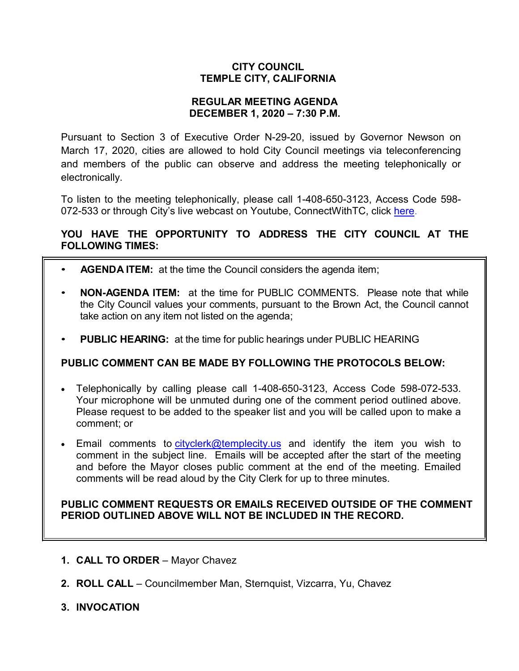# **CITY COUNCIL TEMPLE CITY, CALIFORNIA**

## **REGULAR MEETING AGENDA DECEMBER 1, 2020 – 7:30 P.M.**

Pursuant to Section 3 of Executive Order N-29-20, issued by Governor Newson on March 17, 2020, cities are allowed to hold City Council meetings via teleconferencing and members of the public can observe and address the meeting telephonically or electronically.

To listen to the meeting telephonically, please call 1-408-650-3123, Access Code 598 072-533 or through City's live webcast on Youtube, ConnectWithTC, click [here.](https://www.ci.temple-city.ca.us/516/Meeting-Webcast)

# **YOU HAVE THE OPPORTUNITY TO ADDRESS THE CITY COUNCIL AT THE FOLLOWING TIMES:**

- **AGENDA ITEM:** at the time the Council considers the agenda item;
- **NON-AGENDA ITEM:** at the time for PUBLIC COMMENTS. Please note that while the City Council values your comments, pursuant to the Brown Act, the Council cannot take action on any item not listed on the agenda;
- **PUBLIC HEARING:** at the time for public hearings under PUBLIC HEARING

# **PUBLIC COMMENT CAN BE MADE BY FOLLOWING THE PROTOCOLS BELOW:**

- Telephonically by calling please call 1-408-650-3123, Access Code 598-072-533. Your microphone will be unmuted during one of the comment period outlined above. Please request to be added to the speaker list and you will be called upon to make a comment; or
- Email comments to [cityclerk@templecity.us](mailto:cityclerk@templecity.us) and identify the item you wish to comment in the subject line. Emails will be accepted after the start of the meeting and before the Mayor closes public comment at the end of the meeting. Emailed comments will be read aloud by the City Clerk for up to three minutes.

## **PUBLIC COMMENT REQUESTS OR EMAILS RECEIVED OUTSIDE OF THE COMMENT PERIOD OUTLINED ABOVE WILL NOT BE INCLUDED IN THE RECORD.**

- **1. CALL TO ORDER**  Mayor Chavez
- **2. ROLL CALL**  Councilmember Man, Sternquist, Vizcarra, Yu, Chavez
- **3. INVOCATION**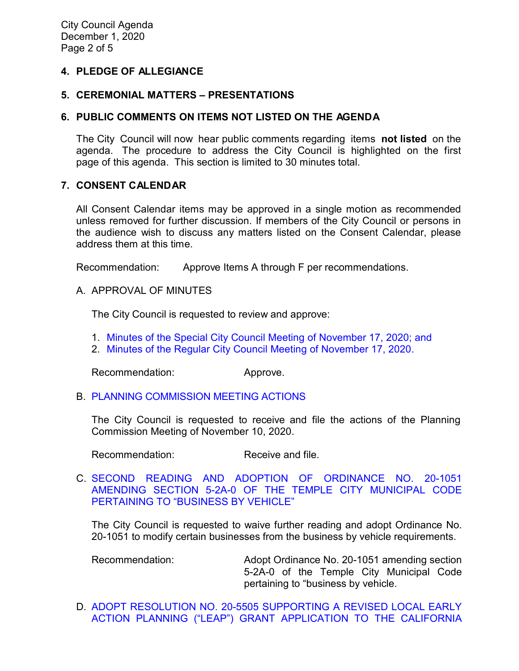## **4. PLEDGE OF ALLEGIANCE**

### **5. CEREMONIAL MATTERS – PRESENTATIONS**

### **6. PUBLIC COMMENTS ON ITEMS NOT LISTED ON THE AGENDA**

The City Council will now hear public comments regarding items **not listed** on the agenda. The procedure to address the City Council is highlighted on the first page of this agenda. This section is limited to 30 minutes total.

### **7. CONSENT CALENDAR**

All Consent Calendar items may be approved in a single motion as recommended unless removed for further discussion. If members of the City Council or persons in the audience wish to discuss any matters listed on the Consent Calendar, please address them at this time.

Recommendation: Approve Items A through F per recommendations.

A. APPROVAL OF MINUTES

The City Council is requested to review and approve:

- 1. Minutes of the Special [City Council Meeting of November 17, 2020; and](https://ca-templecity.civicplus.com/DocumentCenter/View/15377/02_7A1_CCM---2020-11-17-Special)
- 2. [Minutes of the Regular City Council Meeting of November 17, 2020.](https://ca-templecity.civicplus.com/DocumentCenter/View/15378/03_7A2_CCM---2020-11-17)

Recommendation: Approve.

B. [PLANNING COMMISSION MEETING ACTIONS](https://ca-templecity.civicplus.com/DocumentCenter/View/15379/04_7B_PC-Actions---from-2020-11-10)

The City Council is requested to receive and file the actions of the Planning Commission Meeting of November 10, 2020.

Recommendation: Receive and file.

C. [SECOND READING AND ADOPTION OF ORDINANCE NO. 20-1051](https://ca-templecity.civicplus.com/DocumentCenter/View/15380/05_7C_2nd-Reading-and-Adoption-of-Ordinance-20-1051-Business-By-Vehicle_Staff-Report_final-w-attachments)  [AMENDING SECTION 5-2A-0 OF THE TEMPLE CITY MUNICIPAL CODE](https://ca-templecity.civicplus.com/DocumentCenter/View/15380/05_7C_2nd-Reading-and-Adoption-of-Ordinance-20-1051-Business-By-Vehicle_Staff-Report_final-w-attachments)  [PERTAINING TO "BUSINESS BY VEHICLE"](https://ca-templecity.civicplus.com/DocumentCenter/View/15380/05_7C_2nd-Reading-and-Adoption-of-Ordinance-20-1051-Business-By-Vehicle_Staff-Report_final-w-attachments)

The City Council is requested to waive further reading and adopt Ordinance No. 20-1051 to modify certain businesses from the business by vehicle requirements.

Recommendation: Adopt Ordinance No. 20-1051 amending section 5-2A-0 of the Temple City Municipal Code pertaining to "business by vehicle.

D. [ADOPT RESOLUTION NO. 20-5505 SUPPORTING A REVISED LOCAL EARLY](https://ca-templecity.civicplus.com/DocumentCenter/View/15381/06_7D_LEAP-Grant-Application_Staff-Report_final-w-attachments)  [ACTION PLANNING \("LEAP"\) GRANT APPLICATION TO THE CALIFORNIA](https://ca-templecity.civicplus.com/DocumentCenter/View/15381/06_7D_LEAP-Grant-Application_Staff-Report_final-w-attachments)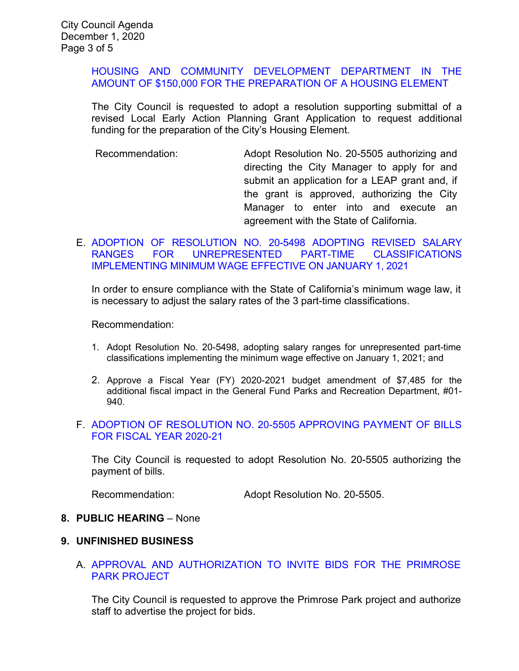## [HOUSING AND COMMUNITY DEVELOPMENT DEPARTMENT IN THE](https://ca-templecity.civicplus.com/DocumentCenter/View/15381/06_7D_LEAP-Grant-Application_Staff-Report_final-w-attachments)  [AMOUNT OF \\$150,000 FOR THE PREPARATION OF A HOUSING ELEMENT](https://ca-templecity.civicplus.com/DocumentCenter/View/15381/06_7D_LEAP-Grant-Application_Staff-Report_final-w-attachments)

The City Council is requested to adopt a resolution supporting submittal of a revised Local Early Action Planning Grant Application to request additional funding for the preparation of the City's Housing Element.

Recommendation: Adopt Resolution No. 20-5505 authorizing and directing the City Manager to apply for and submit an application for a LEAP grant and, if the grant is approved, authorizing the City Manager to enter into and execute an agreement with the State of California.

## E. [ADOPTION OF RESOLUTION NO. 20-5498 ADOPTING REVISED SALARY](https://ca-templecity.civicplus.com/DocumentCenter/View/15382/07_7E_Minimum-Wage_Staff-Report_final-w-attachment)  [RANGES FOR UNREPRESENTED PART-TIME CLASSIFICATIONS](https://ca-templecity.civicplus.com/DocumentCenter/View/15382/07_7E_Minimum-Wage_Staff-Report_final-w-attachment)  [IMPLEMENTING MINIMUM WAGE EFFECTIVE ON JANUARY 1, 2021](https://ca-templecity.civicplus.com/DocumentCenter/View/15382/07_7E_Minimum-Wage_Staff-Report_final-w-attachment)

In order to ensure compliance with the State of California's minimum wage law, it is necessary to adjust the salary rates of the 3 part-time classifications.

Recommendation:

- 1. Adopt Resolution No. 20-5498, adopting salary ranges for unrepresented part-time classifications implementing the minimum wage effective on January 1, 2021; and
- 2. Approve a Fiscal Year (FY) 2020-2021 budget amendment of \$7,485 for the additional fiscal impact in the General Fund Parks and Recreation Department, #01- 940.

## F. [ADOPTION OF RESOLUTION NO. 20-5505 APPROVING PAYMENT OF BILLS](https://ca-templecity.civicplus.com/DocumentCenter/View/15383/08_7F_CC-Warrant_Reso-No-20-5505-120120-w-attachment)  [FOR FISCAL YEAR 2020-21](https://ca-templecity.civicplus.com/DocumentCenter/View/15383/08_7F_CC-Warrant_Reso-No-20-5505-120120-w-attachment)

The City Council is requested to adopt Resolution No. 20-5505 authorizing the payment of bills.

Recommendation: Adopt Resolution No. 20-5505.

#### **8. PUBLIC HEARING** – None

### **9. UNFINISHED BUSINESS**

### A. [APPROVAL AND AUTHORIZATION TO INVITE BIDS FOR THE PRIMROSE](https://ca-templecity.civicplus.com/DocumentCenter/View/15389/09_9A_Primrose-Park-Project_staff-report)  [PARK PROJECT](https://ca-templecity.civicplus.com/DocumentCenter/View/15389/09_9A_Primrose-Park-Project_staff-report)

The City Council is requested to approve the Primrose Park project and authorize staff to advertise the project for bids.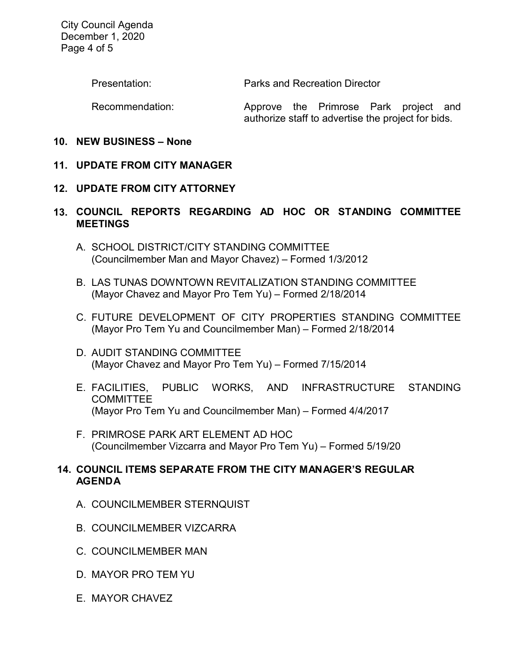City Council Agenda December 1, 2020 Page 4 of 5

Presentation: Parks and Recreation Director

Recommendation: Approve the Primrose Park project and authorize staff to advertise the project for bids.

## **10. NEW BUSINESS – None**

# **11. UPDATE FROM CITY MANAGER**

# **12. UPDATE FROM CITY ATTORNEY**

# **13. COUNCIL REPORTS REGARDING AD HOC OR STANDING COMMITTEE MEETINGS**

- A. SCHOOL DISTRICT/CITY STANDING COMMITTEE (Councilmember Man and Mayor Chavez) – Formed 1/3/2012
- B. LAS TUNAS DOWNTOWN REVITALIZATION STANDING COMMITTEE (Mayor Chavez and Mayor Pro Tem Yu) – Formed 2/18/2014
- C. FUTURE DEVELOPMENT OF CITY PROPERTIES STANDING COMMITTEE (Mayor Pro Tem Yu and Councilmember Man) – Formed 2/18/2014
- D. AUDIT STANDING COMMITTEE (Mayor Chavez and Mayor Pro Tem Yu) – Formed 7/15/2014
- E. FACILITIES, PUBLIC WORKS, AND INFRASTRUCTURE STANDING **COMMITTEE** (Mayor Pro Tem Yu and Councilmember Man) – Formed 4/4/2017
- F. PRIMROSE PARK ART ELEMENT AD HOC (Councilmember Vizcarra and Mayor Pro Tem Yu) – Formed 5/19/20

## **14. COUNCIL ITEMS SEPARATE FROM THE CITY MANAGER'S REGULAR AGENDA**

- A. COUNCILMEMBER STERNQUIST
- B. COUNCILMEMBER VIZCARRA
- C. COUNCILMEMBER MAN
- D. MAYOR PRO TEM YU
- E. MAYOR CHAVEZ